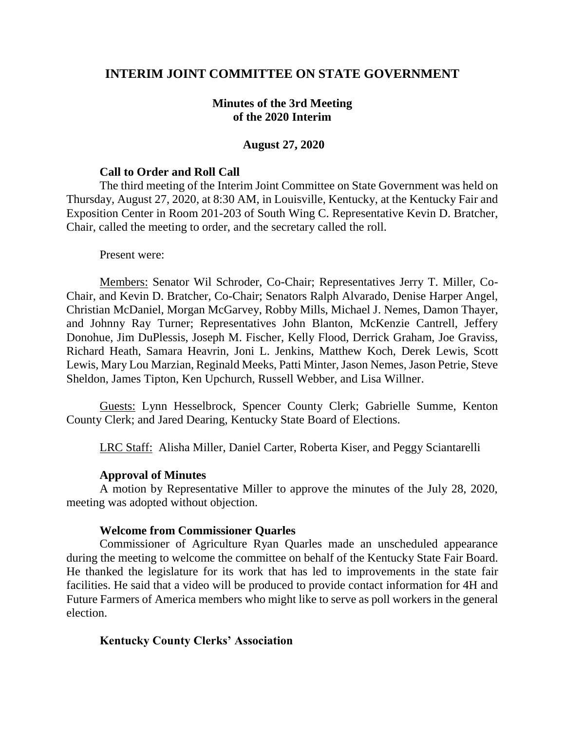# **INTERIM JOINT COMMITTEE ON STATE GOVERNMENT**

## **Minutes of the 3rd Meeting of the 2020 Interim**

#### **August 27, 2020**

#### **Call to Order and Roll Call**

The third meeting of the Interim Joint Committee on State Government was held on Thursday, August 27, 2020, at 8:30 AM, in Louisville, Kentucky, at the Kentucky Fair and Exposition Center in Room 201-203 of South Wing C. Representative Kevin D. Bratcher, Chair, called the meeting to order, and the secretary called the roll.

#### Present were:

Members: Senator Wil Schroder, Co-Chair; Representatives Jerry T. Miller, Co-Chair, and Kevin D. Bratcher, Co-Chair; Senators Ralph Alvarado, Denise Harper Angel, Christian McDaniel, Morgan McGarvey, Robby Mills, Michael J. Nemes, Damon Thayer, and Johnny Ray Turner; Representatives John Blanton, McKenzie Cantrell, Jeffery Donohue, Jim DuPlessis, Joseph M. Fischer, Kelly Flood, Derrick Graham, Joe Graviss, Richard Heath, Samara Heavrin, Joni L. Jenkins, Matthew Koch, Derek Lewis, Scott Lewis, Mary Lou Marzian, Reginald Meeks, Patti Minter, Jason Nemes, Jason Petrie, Steve Sheldon, James Tipton, Ken Upchurch, Russell Webber, and Lisa Willner.

Guests: Lynn Hesselbrock, Spencer County Clerk; Gabrielle Summe, Kenton County Clerk; and Jared Dearing, Kentucky State Board of Elections.

LRC Staff: Alisha Miller, Daniel Carter, Roberta Kiser, and Peggy Sciantarelli

## **Approval of Minutes**

A motion by Representative Miller to approve the minutes of the July 28, 2020, meeting was adopted without objection.

#### **Welcome from Commissioner Quarles**

Commissioner of Agriculture Ryan Quarles made an unscheduled appearance during the meeting to welcome the committee on behalf of the Kentucky State Fair Board. He thanked the legislature for its work that has led to improvements in the state fair facilities. He said that a video will be produced to provide contact information for 4H and Future Farmers of America members who might like to serve as poll workers in the general election.

## **Kentucky County Clerks' Association**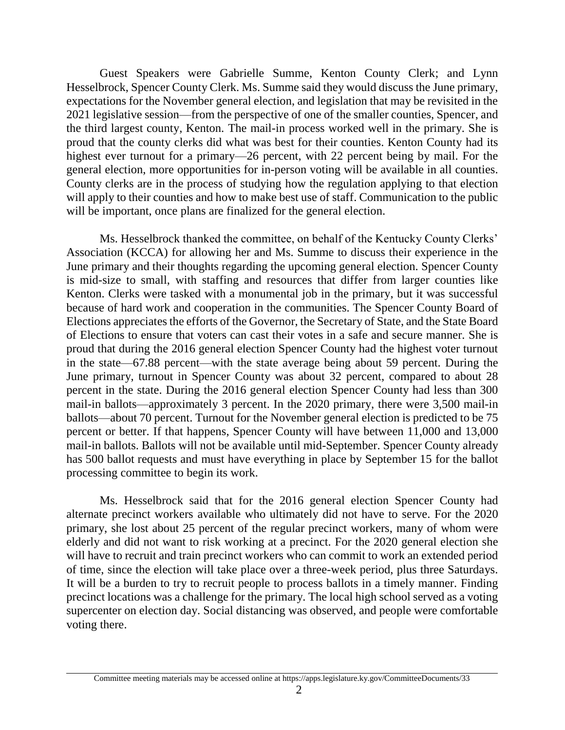Guest Speakers were Gabrielle Summe, Kenton County Clerk; and Lynn Hesselbrock, Spencer County Clerk. Ms. Summe said they would discuss the June primary, expectations for the November general election, and legislation that may be revisited in the 2021 legislative session—from the perspective of one of the smaller counties, Spencer, and the third largest county, Kenton. The mail-in process worked well in the primary. She is proud that the county clerks did what was best for their counties. Kenton County had its highest ever turnout for a primary—26 percent, with 22 percent being by mail. For the general election, more opportunities for in-person voting will be available in all counties. County clerks are in the process of studying how the regulation applying to that election will apply to their counties and how to make best use of staff. Communication to the public will be important, once plans are finalized for the general election.

Ms. Hesselbrock thanked the committee, on behalf of the Kentucky County Clerks' Association (KCCA) for allowing her and Ms. Summe to discuss their experience in the June primary and their thoughts regarding the upcoming general election. Spencer County is mid-size to small, with staffing and resources that differ from larger counties like Kenton. Clerks were tasked with a monumental job in the primary, but it was successful because of hard work and cooperation in the communities. The Spencer County Board of Elections appreciates the efforts of the Governor, the Secretary of State, and the State Board of Elections to ensure that voters can cast their votes in a safe and secure manner. She is proud that during the 2016 general election Spencer County had the highest voter turnout in the state—67.88 percent—with the state average being about 59 percent. During the June primary, turnout in Spencer County was about 32 percent, compared to about 28 percent in the state. During the 2016 general election Spencer County had less than 300 mail-in ballots—approximately 3 percent. In the 2020 primary, there were 3,500 mail-in ballots—about 70 percent. Turnout for the November general election is predicted to be 75 percent or better. If that happens, Spencer County will have between 11,000 and 13,000 mail-in ballots. Ballots will not be available until mid-September. Spencer County already has 500 ballot requests and must have everything in place by September 15 for the ballot processing committee to begin its work.

Ms. Hesselbrock said that for the 2016 general election Spencer County had alternate precinct workers available who ultimately did not have to serve. For the 2020 primary, she lost about 25 percent of the regular precinct workers, many of whom were elderly and did not want to risk working at a precinct. For the 2020 general election she will have to recruit and train precinct workers who can commit to work an extended period of time, since the election will take place over a three-week period, plus three Saturdays. It will be a burden to try to recruit people to process ballots in a timely manner. Finding precinct locations was a challenge for the primary. The local high school served as a voting supercenter on election day. Social distancing was observed, and people were comfortable voting there.

Committee meeting materials may be accessed online at https://apps.legislature.ky.gov/CommitteeDocuments/33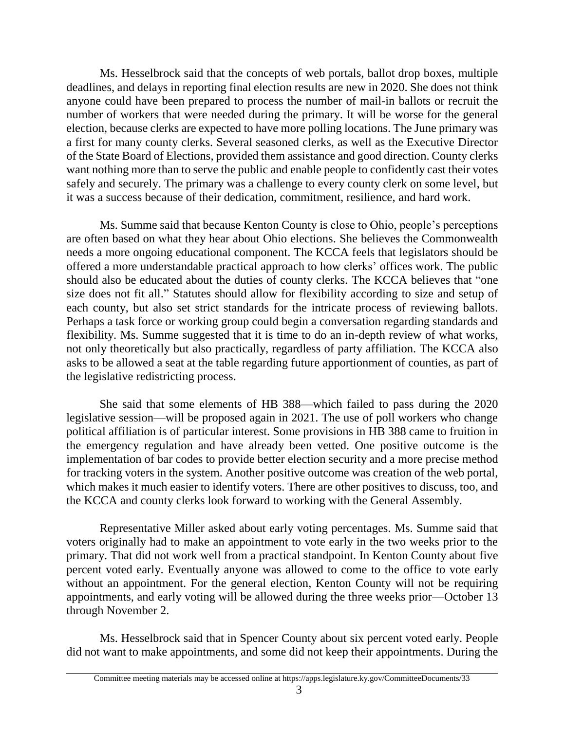Ms. Hesselbrock said that the concepts of web portals, ballot drop boxes, multiple deadlines, and delays in reporting final election results are new in 2020. She does not think anyone could have been prepared to process the number of mail-in ballots or recruit the number of workers that were needed during the primary. It will be worse for the general election, because clerks are expected to have more polling locations. The June primary was a first for many county clerks. Several seasoned clerks, as well as the Executive Director of the State Board of Elections, provided them assistance and good direction. County clerks want nothing more than to serve the public and enable people to confidently cast their votes safely and securely. The primary was a challenge to every county clerk on some level, but it was a success because of their dedication, commitment, resilience, and hard work.

Ms. Summe said that because Kenton County is close to Ohio, people's perceptions are often based on what they hear about Ohio elections. She believes the Commonwealth needs a more ongoing educational component. The KCCA feels that legislators should be offered a more understandable practical approach to how clerks' offices work. The public should also be educated about the duties of county clerks. The KCCA believes that "one size does not fit all." Statutes should allow for flexibility according to size and setup of each county, but also set strict standards for the intricate process of reviewing ballots. Perhaps a task force or working group could begin a conversation regarding standards and flexibility. Ms. Summe suggested that it is time to do an in-depth review of what works, not only theoretically but also practically, regardless of party affiliation. The KCCA also asks to be allowed a seat at the table regarding future apportionment of counties, as part of the legislative redistricting process.

She said that some elements of HB 388—which failed to pass during the 2020 legislative session—will be proposed again in 2021. The use of poll workers who change political affiliation is of particular interest. Some provisions in HB 388 came to fruition in the emergency regulation and have already been vetted. One positive outcome is the implementation of bar codes to provide better election security and a more precise method for tracking voters in the system. Another positive outcome was creation of the web portal, which makes it much easier to identify voters. There are other positives to discuss, too, and the KCCA and county clerks look forward to working with the General Assembly.

Representative Miller asked about early voting percentages. Ms. Summe said that voters originally had to make an appointment to vote early in the two weeks prior to the primary. That did not work well from a practical standpoint. In Kenton County about five percent voted early. Eventually anyone was allowed to come to the office to vote early without an appointment. For the general election, Kenton County will not be requiring appointments, and early voting will be allowed during the three weeks prior—October 13 through November 2.

Ms. Hesselbrock said that in Spencer County about six percent voted early. People did not want to make appointments, and some did not keep their appointments. During the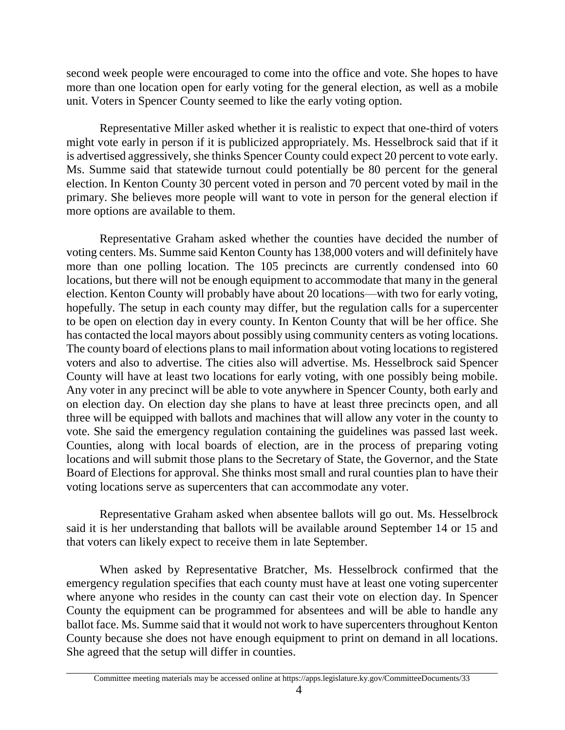second week people were encouraged to come into the office and vote. She hopes to have more than one location open for early voting for the general election, as well as a mobile unit. Voters in Spencer County seemed to like the early voting option.

Representative Miller asked whether it is realistic to expect that one-third of voters might vote early in person if it is publicized appropriately. Ms. Hesselbrock said that if it is advertised aggressively, she thinks Spencer County could expect 20 percent to vote early. Ms. Summe said that statewide turnout could potentially be 80 percent for the general election. In Kenton County 30 percent voted in person and 70 percent voted by mail in the primary. She believes more people will want to vote in person for the general election if more options are available to them.

Representative Graham asked whether the counties have decided the number of voting centers. Ms. Summe said Kenton County has 138,000 voters and will definitely have more than one polling location. The 105 precincts are currently condensed into 60 locations, but there will not be enough equipment to accommodate that many in the general election. Kenton County will probably have about 20 locations—with two for early voting, hopefully. The setup in each county may differ, but the regulation calls for a supercenter to be open on election day in every county. In Kenton County that will be her office. She has contacted the local mayors about possibly using community centers as voting locations. The county board of elections plans to mail information about voting locations to registered voters and also to advertise. The cities also will advertise. Ms. Hesselbrock said Spencer County will have at least two locations for early voting, with one possibly being mobile. Any voter in any precinct will be able to vote anywhere in Spencer County, both early and on election day. On election day she plans to have at least three precincts open, and all three will be equipped with ballots and machines that will allow any voter in the county to vote. She said the emergency regulation containing the guidelines was passed last week. Counties, along with local boards of election, are in the process of preparing voting locations and will submit those plans to the Secretary of State, the Governor, and the State Board of Elections for approval. She thinks most small and rural counties plan to have their voting locations serve as supercenters that can accommodate any voter.

Representative Graham asked when absentee ballots will go out. Ms. Hesselbrock said it is her understanding that ballots will be available around September 14 or 15 and that voters can likely expect to receive them in late September.

When asked by Representative Bratcher, Ms. Hesselbrock confirmed that the emergency regulation specifies that each county must have at least one voting supercenter where anyone who resides in the county can cast their vote on election day. In Spencer County the equipment can be programmed for absentees and will be able to handle any ballot face. Ms. Summe said that it would not work to have supercenters throughout Kenton County because she does not have enough equipment to print on demand in all locations. She agreed that the setup will differ in counties.

Committee meeting materials may be accessed online at https://apps.legislature.ky.gov/CommitteeDocuments/33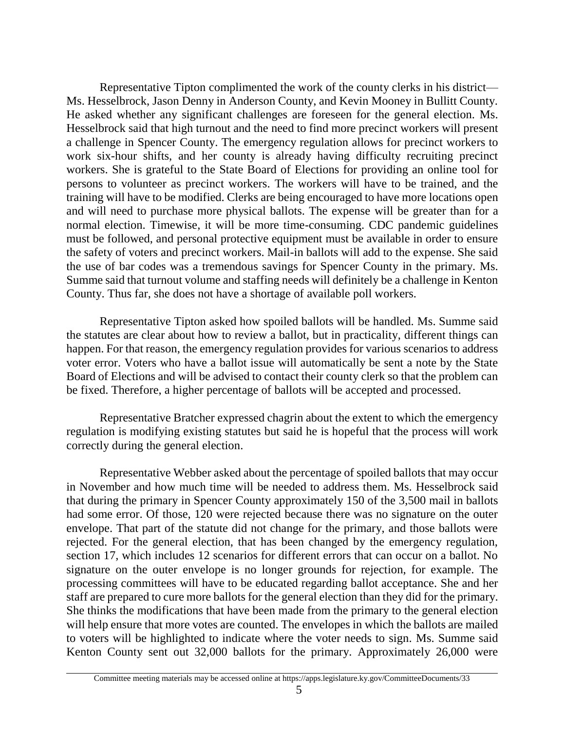Representative Tipton complimented the work of the county clerks in his district— Ms. Hesselbrock, Jason Denny in Anderson County, and Kevin Mooney in Bullitt County. He asked whether any significant challenges are foreseen for the general election. Ms. Hesselbrock said that high turnout and the need to find more precinct workers will present a challenge in Spencer County. The emergency regulation allows for precinct workers to work six-hour shifts, and her county is already having difficulty recruiting precinct workers. She is grateful to the State Board of Elections for providing an online tool for persons to volunteer as precinct workers. The workers will have to be trained, and the training will have to be modified. Clerks are being encouraged to have more locations open and will need to purchase more physical ballots. The expense will be greater than for a normal election. Timewise, it will be more time-consuming. CDC pandemic guidelines must be followed, and personal protective equipment must be available in order to ensure the safety of voters and precinct workers. Mail-in ballots will add to the expense. She said the use of bar codes was a tremendous savings for Spencer County in the primary. Ms. Summe said that turnout volume and staffing needs will definitely be a challenge in Kenton County. Thus far, she does not have a shortage of available poll workers.

Representative Tipton asked how spoiled ballots will be handled. Ms. Summe said the statutes are clear about how to review a ballot, but in practicality, different things can happen. For that reason, the emergency regulation provides for various scenarios to address voter error. Voters who have a ballot issue will automatically be sent a note by the State Board of Elections and will be advised to contact their county clerk so that the problem can be fixed. Therefore, a higher percentage of ballots will be accepted and processed.

Representative Bratcher expressed chagrin about the extent to which the emergency regulation is modifying existing statutes but said he is hopeful that the process will work correctly during the general election.

Representative Webber asked about the percentage of spoiled ballots that may occur in November and how much time will be needed to address them. Ms. Hesselbrock said that during the primary in Spencer County approximately 150 of the 3,500 mail in ballots had some error. Of those, 120 were rejected because there was no signature on the outer envelope. That part of the statute did not change for the primary, and those ballots were rejected. For the general election, that has been changed by the emergency regulation, section 17, which includes 12 scenarios for different errors that can occur on a ballot. No signature on the outer envelope is no longer grounds for rejection, for example. The processing committees will have to be educated regarding ballot acceptance. She and her staff are prepared to cure more ballots for the general election than they did for the primary. She thinks the modifications that have been made from the primary to the general election will help ensure that more votes are counted. The envelopes in which the ballots are mailed to voters will be highlighted to indicate where the voter needs to sign. Ms. Summe said Kenton County sent out 32,000 ballots for the primary. Approximately 26,000 were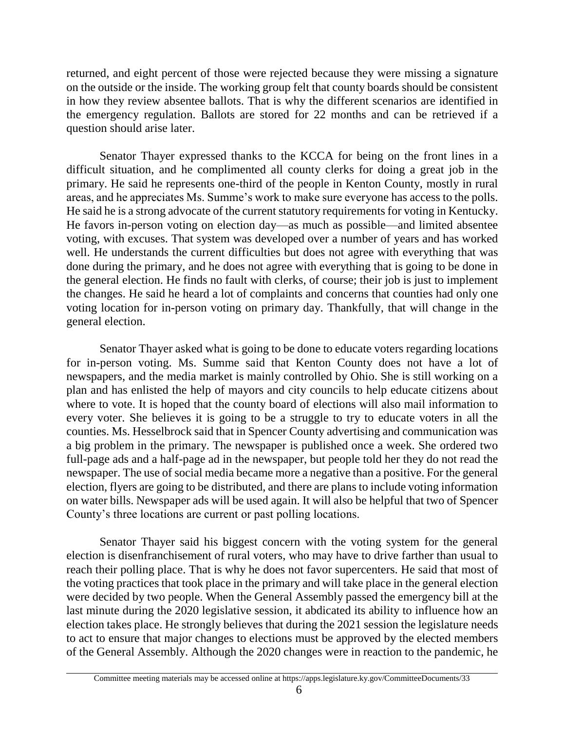returned, and eight percent of those were rejected because they were missing a signature on the outside or the inside. The working group felt that county boards should be consistent in how they review absentee ballots. That is why the different scenarios are identified in the emergency regulation. Ballots are stored for 22 months and can be retrieved if a question should arise later.

Senator Thayer expressed thanks to the KCCA for being on the front lines in a difficult situation, and he complimented all county clerks for doing a great job in the primary. He said he represents one-third of the people in Kenton County, mostly in rural areas, and he appreciates Ms. Summe's work to make sure everyone has access to the polls. He said he is a strong advocate of the current statutory requirements for voting in Kentucky. He favors in-person voting on election day—as much as possible—and limited absentee voting, with excuses. That system was developed over a number of years and has worked well. He understands the current difficulties but does not agree with everything that was done during the primary, and he does not agree with everything that is going to be done in the general election. He finds no fault with clerks, of course; their job is just to implement the changes. He said he heard a lot of complaints and concerns that counties had only one voting location for in-person voting on primary day. Thankfully, that will change in the general election.

Senator Thayer asked what is going to be done to educate voters regarding locations for in-person voting. Ms. Summe said that Kenton County does not have a lot of newspapers, and the media market is mainly controlled by Ohio. She is still working on a plan and has enlisted the help of mayors and city councils to help educate citizens about where to vote. It is hoped that the county board of elections will also mail information to every voter. She believes it is going to be a struggle to try to educate voters in all the counties. Ms. Hesselbrock said that in Spencer County advertising and communication was a big problem in the primary. The newspaper is published once a week. She ordered two full-page ads and a half-page ad in the newspaper, but people told her they do not read the newspaper. The use of social media became more a negative than a positive. For the general election, flyers are going to be distributed, and there are plans to include voting information on water bills. Newspaper ads will be used again. It will also be helpful that two of Spencer County's three locations are current or past polling locations.

Senator Thayer said his biggest concern with the voting system for the general election is disenfranchisement of rural voters, who may have to drive farther than usual to reach their polling place. That is why he does not favor supercenters. He said that most of the voting practices that took place in the primary and will take place in the general election were decided by two people. When the General Assembly passed the emergency bill at the last minute during the 2020 legislative session, it abdicated its ability to influence how an election takes place. He strongly believes that during the 2021 session the legislature needs to act to ensure that major changes to elections must be approved by the elected members of the General Assembly. Although the 2020 changes were in reaction to the pandemic, he

Committee meeting materials may be accessed online at https://apps.legislature.ky.gov/CommitteeDocuments/33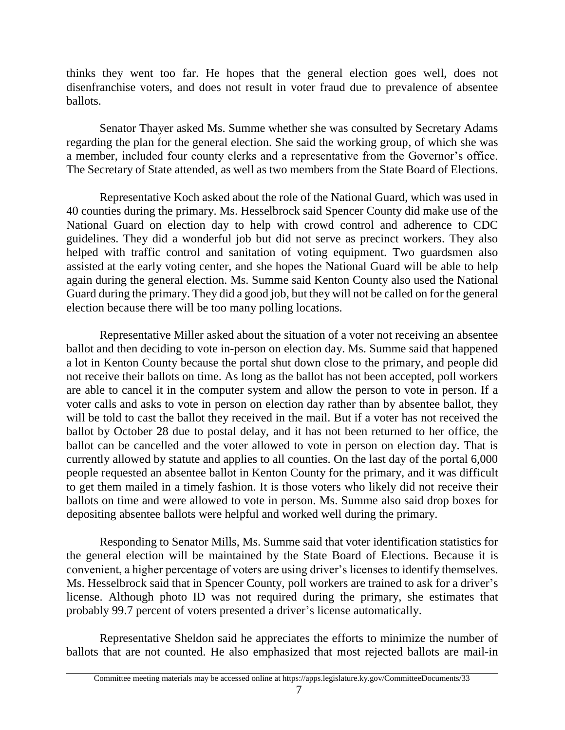thinks they went too far. He hopes that the general election goes well, does not disenfranchise voters, and does not result in voter fraud due to prevalence of absentee ballots.

Senator Thayer asked Ms. Summe whether she was consulted by Secretary Adams regarding the plan for the general election. She said the working group, of which she was a member, included four county clerks and a representative from the Governor's office. The Secretary of State attended, as well as two members from the State Board of Elections.

Representative Koch asked about the role of the National Guard, which was used in 40 counties during the primary. Ms. Hesselbrock said Spencer County did make use of the National Guard on election day to help with crowd control and adherence to CDC guidelines. They did a wonderful job but did not serve as precinct workers. They also helped with traffic control and sanitation of voting equipment. Two guardsmen also assisted at the early voting center, and she hopes the National Guard will be able to help again during the general election. Ms. Summe said Kenton County also used the National Guard during the primary. They did a good job, but they will not be called on for the general election because there will be too many polling locations.

Representative Miller asked about the situation of a voter not receiving an absentee ballot and then deciding to vote in-person on election day. Ms. Summe said that happened a lot in Kenton County because the portal shut down close to the primary, and people did not receive their ballots on time. As long as the ballot has not been accepted, poll workers are able to cancel it in the computer system and allow the person to vote in person. If a voter calls and asks to vote in person on election day rather than by absentee ballot, they will be told to cast the ballot they received in the mail. But if a voter has not received the ballot by October 28 due to postal delay, and it has not been returned to her office, the ballot can be cancelled and the voter allowed to vote in person on election day. That is currently allowed by statute and applies to all counties. On the last day of the portal 6,000 people requested an absentee ballot in Kenton County for the primary, and it was difficult to get them mailed in a timely fashion. It is those voters who likely did not receive their ballots on time and were allowed to vote in person. Ms. Summe also said drop boxes for depositing absentee ballots were helpful and worked well during the primary.

Responding to Senator Mills, Ms. Summe said that voter identification statistics for the general election will be maintained by the State Board of Elections. Because it is convenient, a higher percentage of voters are using driver's licenses to identify themselves. Ms. Hesselbrock said that in Spencer County, poll workers are trained to ask for a driver's license. Although photo ID was not required during the primary, she estimates that probably 99.7 percent of voters presented a driver's license automatically.

Representative Sheldon said he appreciates the efforts to minimize the number of ballots that are not counted. He also emphasized that most rejected ballots are mail-in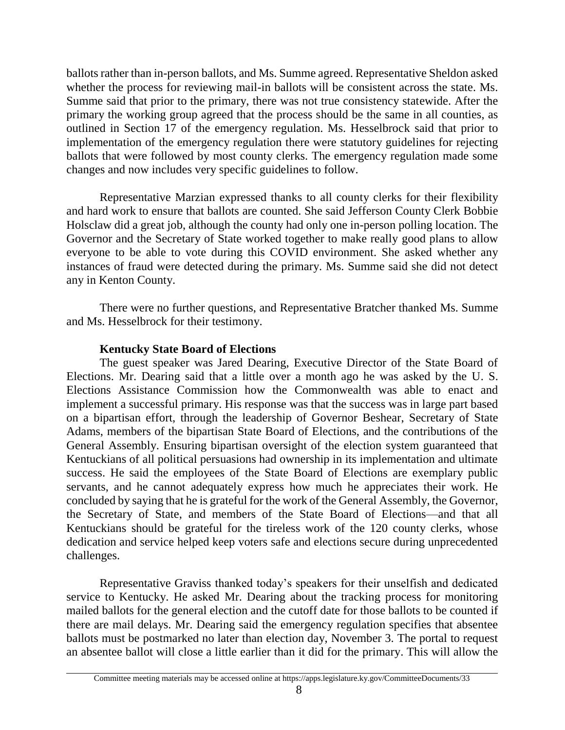ballots rather than in-person ballots, and Ms. Summe agreed. Representative Sheldon asked whether the process for reviewing mail-in ballots will be consistent across the state. Ms. Summe said that prior to the primary, there was not true consistency statewide. After the primary the working group agreed that the process should be the same in all counties, as outlined in Section 17 of the emergency regulation. Ms. Hesselbrock said that prior to implementation of the emergency regulation there were statutory guidelines for rejecting ballots that were followed by most county clerks. The emergency regulation made some changes and now includes very specific guidelines to follow.

Representative Marzian expressed thanks to all county clerks for their flexibility and hard work to ensure that ballots are counted. She said Jefferson County Clerk Bobbie Holsclaw did a great job, although the county had only one in-person polling location. The Governor and the Secretary of State worked together to make really good plans to allow everyone to be able to vote during this COVID environment. She asked whether any instances of fraud were detected during the primary. Ms. Summe said she did not detect any in Kenton County.

There were no further questions, and Representative Bratcher thanked Ms. Summe and Ms. Hesselbrock for their testimony.

## **Kentucky State Board of Elections**

The guest speaker was Jared Dearing, Executive Director of the State Board of Elections. Mr. Dearing said that a little over a month ago he was asked by the U. S. Elections Assistance Commission how the Commonwealth was able to enact and implement a successful primary. His response was that the success was in large part based on a bipartisan effort, through the leadership of Governor Beshear, Secretary of State Adams, members of the bipartisan State Board of Elections, and the contributions of the General Assembly. Ensuring bipartisan oversight of the election system guaranteed that Kentuckians of all political persuasions had ownership in its implementation and ultimate success. He said the employees of the State Board of Elections are exemplary public servants, and he cannot adequately express how much he appreciates their work. He concluded by saying that he is grateful for the work of the General Assembly, the Governor, the Secretary of State, and members of the State Board of Elections—and that all Kentuckians should be grateful for the tireless work of the 120 county clerks, whose dedication and service helped keep voters safe and elections secure during unprecedented challenges.

Representative Graviss thanked today's speakers for their unselfish and dedicated service to Kentucky. He asked Mr. Dearing about the tracking process for monitoring mailed ballots for the general election and the cutoff date for those ballots to be counted if there are mail delays. Mr. Dearing said the emergency regulation specifies that absentee ballots must be postmarked no later than election day, November 3. The portal to request an absentee ballot will close a little earlier than it did for the primary. This will allow the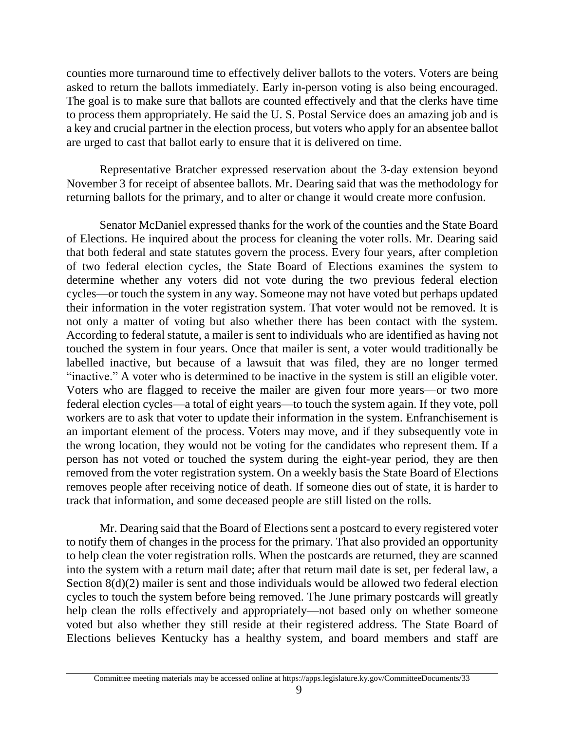counties more turnaround time to effectively deliver ballots to the voters. Voters are being asked to return the ballots immediately. Early in-person voting is also being encouraged. The goal is to make sure that ballots are counted effectively and that the clerks have time to process them appropriately. He said the U. S. Postal Service does an amazing job and is a key and crucial partner in the election process, but voters who apply for an absentee ballot are urged to cast that ballot early to ensure that it is delivered on time.

Representative Bratcher expressed reservation about the 3-day extension beyond November 3 for receipt of absentee ballots. Mr. Dearing said that was the methodology for returning ballots for the primary, and to alter or change it would create more confusion.

Senator McDaniel expressed thanks for the work of the counties and the State Board of Elections. He inquired about the process for cleaning the voter rolls. Mr. Dearing said that both federal and state statutes govern the process. Every four years, after completion of two federal election cycles, the State Board of Elections examines the system to determine whether any voters did not vote during the two previous federal election cycles—or touch the system in any way. Someone may not have voted but perhaps updated their information in the voter registration system. That voter would not be removed. It is not only a matter of voting but also whether there has been contact with the system. According to federal statute, a mailer is sent to individuals who are identified as having not touched the system in four years. Once that mailer is sent, a voter would traditionally be labelled inactive, but because of a lawsuit that was filed, they are no longer termed "inactive." A voter who is determined to be inactive in the system is still an eligible voter. Voters who are flagged to receive the mailer are given four more years—or two more federal election cycles—a total of eight years—to touch the system again. If they vote, poll workers are to ask that voter to update their information in the system. Enfranchisement is an important element of the process. Voters may move, and if they subsequently vote in the wrong location, they would not be voting for the candidates who represent them. If a person has not voted or touched the system during the eight-year period, they are then removed from the voter registration system. On a weekly basis the State Board of Elections removes people after receiving notice of death. If someone dies out of state, it is harder to track that information, and some deceased people are still listed on the rolls.

Mr. Dearing said that the Board of Elections sent a postcard to every registered voter to notify them of changes in the process for the primary. That also provided an opportunity to help clean the voter registration rolls. When the postcards are returned, they are scanned into the system with a return mail date; after that return mail date is set, per federal law, a Section 8(d)(2) mailer is sent and those individuals would be allowed two federal election cycles to touch the system before being removed. The June primary postcards will greatly help clean the rolls effectively and appropriately—not based only on whether someone voted but also whether they still reside at their registered address. The State Board of Elections believes Kentucky has a healthy system, and board members and staff are